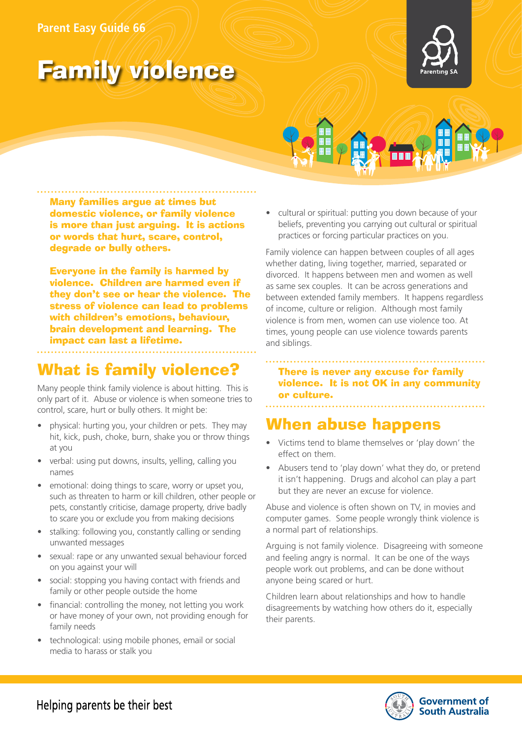#### **Parent Easy Guide 66**

# Family violence





Many families argue at times but domestic violence, or family violence is more than just arguing. It is actions or words that hurt, scare, control, degrade or bully others.

Everyone in the family is harmed by violence. Children are harmed even if they don't see or hear the violence. The stress of violence can lead to problems with children's emotions, behaviour, brain development and learning. The impact can last a lifetime.

## What is family violence?

Many people think family violence is about hitting. This is only part of it. Abuse or violence is when someone tries to control, scare, hurt or bully others. It might be:

- physical: hurting you, your children or pets. They may hit, kick, push, choke, burn, shake you or throw things at you
- verbal: using put downs, insults, yelling, calling you names
- emotional: doing things to scare, worry or upset you, such as threaten to harm or kill children, other people or pets, constantly criticise, damage property, drive badly to scare you or exclude you from making decisions
- stalking: following you, constantly calling or sending unwanted messages
- sexual: rape or any unwanted sexual behaviour forced on you against your will
- social: stopping you having contact with friends and family or other people outside the home
- financial: controlling the money, not letting you work or have money of your own, not providing enough for family needs
- technological: using mobile phones, email or social media to harass or stalk you

• cultural or spiritual: putting you down because of your beliefs, preventing you carrying out cultural or spiritual practices or forcing particular practices on you.

Family violence can happen between couples of all ages whether dating, living together, married, separated or divorced. It happens between men and women as well as same sex couples. It can be across generations and between extended family members. It happens regardless of income, culture or religion. Although most family violence is from men, women can use violence too. At times, young people can use violence towards parents and siblings.

There is never any excuse for family violence. It is not OK in any community or culture.

### When abuse happens

- Victims tend to blame themselves or 'play down' the effect on them.
- Abusers tend to 'play down' what they do, or pretend it isn't happening. Drugs and alcohol can play a part but they are never an excuse for violence.

Abuse and violence is often shown on TV, in movies and computer games. Some people wrongly think violence is a normal part of relationships.

Arguing is not family violence. Disagreeing with someone and feeling angry is normal. It can be one of the ways people work out problems, and can be done without anyone being scared or hurt.

Children learn about relationships and how to handle disagreements by watching how others do it, especially their parents.



Helping parents be their best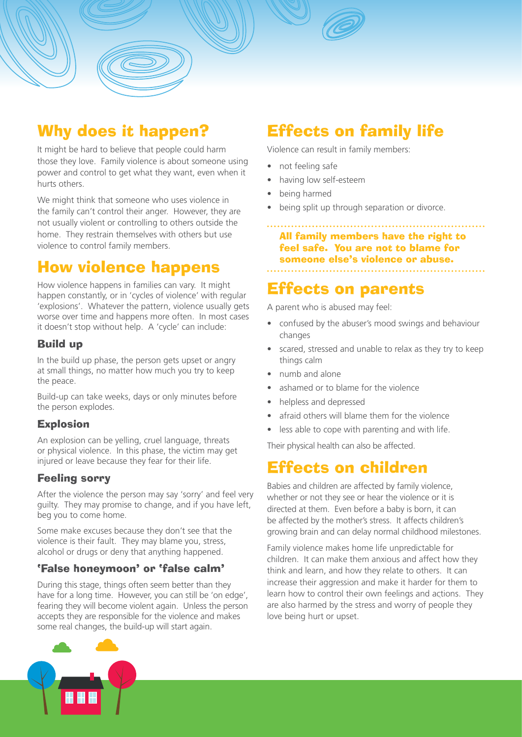

### Why does it happen?

It might be hard to believe that people could harm those they love. Family violence is about someone using power and control to get what they want, even when it hurts others.

We might think that someone who uses violence in the family can't control their anger. However, they are not usually violent or controlling to others outside the home. They restrain themselves with others but use violence to control family members.

### How violence happens

How violence happens in families can vary. It might happen constantly, or in 'cycles of violence' with regular 'explosions'. Whatever the pattern, violence usually gets worse over time and happens more often. In most cases it doesn't stop without help. A 'cycle' can include:

#### Build up

In the build up phase, the person gets upset or angry at small things, no matter how much you try to keep the peace.

Build-up can take weeks, days or only minutes before the person explodes.

#### Explosion

An explosion can be yelling, cruel language, threats or physical violence. In this phase, the victim may get injured or leave because they fear for their life.

#### Feeling sorry

After the violence the person may say 'sorry' and feel very guilty. They may promise to change, and if you have left, beg you to come home.

Some make excuses because they don't see that the violence is their fault. They may blame you, stress, alcohol or drugs or deny that anything happened.

### 'False honeymoon' or 'false calm'

During this stage, things often seem better than they have for a long time. However, you can still be 'on edge', fearing they will become violent again. Unless the person accepts they are responsible for the violence and makes some real changes, the build-up will start again.

Effects on family life Violence can result in family members:

- not feeling safe
- having low self-esteem
- being harmed
- being split up through separation or divorce.

All family members have the right to feel safe. You are not to blame for someone else's violence or abuse.

### Effects on parents

A parent who is abused may feel:

- confused by the abuser's mood swings and behaviour changes
- scared, stressed and unable to relax as they try to keep things calm
- numb and alone
- ashamed or to blame for the violence
- helpless and depressed
- afraid others will blame them for the violence
- less able to cope with parenting and with life.

Their physical health can also be affected.

### Effects on children

Babies and children are affected by family violence, whether or not they see or hear the violence or it is directed at them. Even before a baby is born, it can be affected by the mother's stress. It affects children's growing brain and can delay normal childhood milestones.

Family violence makes home life unpredictable for children. It can make them anxious and affect how they think and learn, and how they relate to others. It can increase their aggression and make it harder for them to learn how to control their own feelings and actions. They are also harmed by the stress and worry of people they love being hurt or upset.

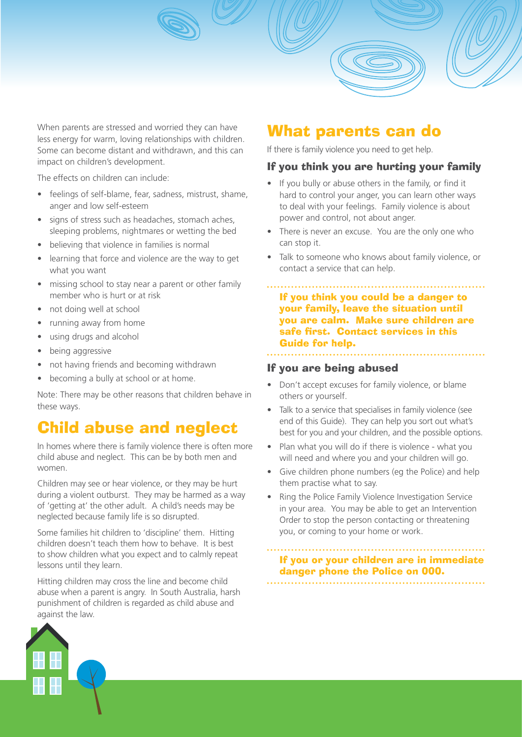

The effects on children can include:

- feelings of self-blame, fear, sadness, mistrust, shame, anger and low self-esteem
- signs of stress such as headaches, stomach aches, sleeping problems, nightmares or wetting the bed
- believing that violence in families is normal
- learning that force and violence are the way to get what you want
- missing school to stay near a parent or other family member who is hurt or at risk
- not doing well at school
- running away from home
- using drugs and alcohol
- being aggressive
- not having friends and becoming withdrawn
- becoming a bully at school or at home.

Note: There may be other reasons that children behave in these ways.

### Child abuse and neglect

In homes where there is family violence there is often more child abuse and neglect. This can be by both men and women.

Children may see or hear violence, or they may be hurt during a violent outburst. They may be harmed as a way of 'getting at' the other adult. A child's needs may be neglected because family life is so disrupted.

Some families hit children to 'discipline' them. Hitting children doesn't teach them how to behave. It is best to show children what you expect and to calmly repeat lessons until they learn.

Hitting children may cross the line and become child abuse when a parent is angry. In South Australia, harsh punishment of children is regarded as child abuse and against the law.

### What parents can do

If there is family violence you need to get help.

#### If you think you are hurting your family

- If you bully or abuse others in the family, or find it hard to control your anger, you can learn other ways to deal with your feelings. Family violence is about power and control, not about anger.
- There is never an excuse. You are the only one who can stop it.
- Talk to someone who knows about family violence, or contact a service that can help.

If you think you could be a danger to your family, leave the situation until you are calm. Make sure children are safe first. Contact services in this Guide for help.

#### If you are being abused

- Don't accept excuses for family violence, or blame others or yourself.
- Talk to a service that specialises in family violence (see end of this Guide). They can help you sort out what's best for you and your children, and the possible options.
- Plan what you will do if there is violence what you will need and where you and your children will go.
- Give children phone numbers (eg the Police) and help them practise what to say.
- Ring the Police Family Violence Investigation Service in your area. You may be able to get an Intervention Order to stop the person contacting or threatening you, or coming to your home or work.

### If you or your children are in immediate danger phone the Police on 000.